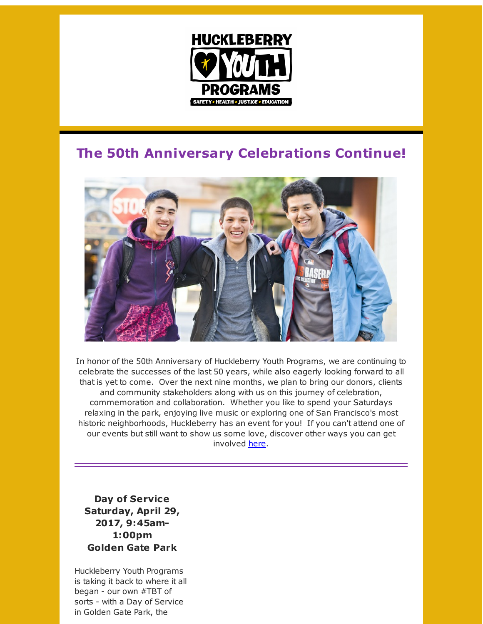

## **The 50th Anniversary Celebrations Continue!**



In honor of the 50th Anniversary of Huckleberry Youth Programs, we are continuing to celebrate the successes of the last 50 years, while also eagerly looking forward to all that is yet to come. Over the next nine months, we plan to bring our donors, clients and community stakeholders along with us on this journey of celebration, commemoration and collaboration. Whether you like to spend your Saturdays relaxing in the park, enjoying live music or exploring one of San Francisco's most historic neighborhoods, Huckleberry has an event for you! If you can't attend one of our events but still want to show us some love, discover other ways you can get involved [here](http://r20.rs6.net/tn.jsp?f=001YkydlIB_n-IiDzgO-dz0JO9HnGsqt3ZextNO61-j7qbNQx9FnqXp3G2B4JbpvKtei5-SlKUp8yG_CZk7z8Omea0f-MS6dbvzji19Ik5P080oLS6LhPHHB2-RwMXDZ1mMpbxqGb3NiI-mBBQWMAxfPciOhRBjBur_XbmTjPnEdm8a4omOtkX6ZcbYBzpU2ra0a1YeLg3a-bjDec3kkamQdGBgEr1m85shHASblXvTJxZthpqZWD0xgNpuMHHvtHEsfp5DQOEh8ExvrZyHR7NwFEUCP9d2q5qGyOHlmkLZf0piNPs0TTT0-VUsQv7DquSVx6m7el96yAE7Hrug1WdiSTiw0rXJoG02rYxDcIRwD3V81zxBl7Ow5w==&c=&ch=).

**Day of Service Saturday, April 29, 2017, 9:45am-1:00pm Golden Gate Park**

Huckleberry Youth Programs is taking it back to where it all began - our own #TBT of sorts - with a Day of Service in Golden Gate Park, the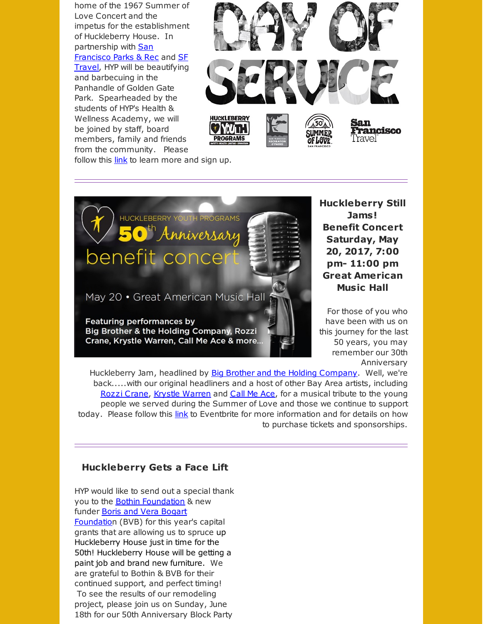home of the 1967 Summer of Love Concert and the impetus for the establishment of Huckleberry House. In [partnership](http://r20.rs6.net/tn.jsp?f=001YkydlIB_n-IiDzgO-dz0JO9HnGsqt3ZextNO61-j7qbNQx9FnqXp3G2B4JbpvKtez6m0CO5JTmIJ-YjhYj2x-MWcOoHXY0dGHe1dSE3WgS6oly_c-w00r8BMYeTbIV_l7GeeZJfzrjY-PjRrtEGUi-DsuJKUMbSW0rEuCmanCM-bKftQK1T7RTd3rly5lARq8L9_Bp7ODGLj3YusEsWd00tihp0_pBdzHa-83BZ7klr1dYPIuJOGYUEWg3-mR_nAayKjJ5XpW6ntDiqgEurV88Fe7uI_WeeJjfG0ufhx2QzvhF2HR837CuVSta5cizFbvXTFdQpjPnw=&c=&ch=) with San Francisco Parks & Rec and SF Travel, HYP will be [beautifying](http://r20.rs6.net/tn.jsp?f=001YkydlIB_n-IiDzgO-dz0JO9HnGsqt3ZextNO61-j7qbNQx9FnqXp3G2B4JbpvKteKC1-VxhwZyDQkH1i1C-Im6wXUQVQr5QIXcaGZl1sTDBvMQiRHUV6qBy2zyZbq2OSDQWYxXXAa6lQN9SI1hh8WPLblsvSltr3SFPboyNAWcZO62gkWNGofb4LWjmZY9PPb_7NzSnglxKBkuDiW48InKRJzFmuqn3FBIbNZxnI8G7W_AEBSZssBCJbE0FVWlW0xoEZ8p_sEcQLmtOn7tzisbftJJ2_zGBTs50y75hzMl1SgZxWmuDTomDxXM2fdY69AT1cCfPkfEA=&c=&ch=) and barbecuing in the Panhandle of Golden Gate Park. Spearheaded by the students of HYP's Health & Wellness Academy, we will be joined by staff, board members, family and friends from the community. Please



follow this [link](http://r20.rs6.net/tn.jsp?f=001YkydlIB_n-IiDzgO-dz0JO9HnGsqt3ZextNO61-j7qbNQx9FnqXp3G2B4JbpvKteBA8lqQPGS4q6nBs7G5wugUQYDMH-Gy7vydH1UaNlz45GbqAu-vkp1Rmv_TgPELV1bQXOeLBqEf_WdR3UKNUhxbrAsA2MEYQJah9jCFuuCuzwjnhyeUOb9NAWlz-qyOjYxkaJhy_khuXIAyM3zmSP9XDxJmtAE3WgX6yJYUXeRchJAPmoBILjafvuDidxlIQ0GaX2dBsrX5CLXJUEyH4mbLVEO4ISOVBke2iVsUZuaAVYceWe99y3cMkyn0IlAzJo_NXgd8ENtzxsaqQkUPtOw9TjQZn8pmc6ODcmgJC-2RXLiuWo451ONxHdfK6QCb0w&c=&ch=) to learn more and sign up.



**Huckleberry Still Jams! Benefit Concert Saturday, May 20, 2017, 7:00 pm- 11:00 pm Great American Music Hall**

For those of you who have been with us on this journey for the last 50 years, you may remember our 30th Anniversary

Huckleberry Jam, headlined by Big Brother and the Holding [Company](http://r20.rs6.net/tn.jsp?f=001YkydlIB_n-IiDzgO-dz0JO9HnGsqt3ZextNO61-j7qbNQx9FnqXp3G2B4JbpvKteIFOckHnsBtP9J9OrjcpYZ5G_ipLcq92yJDmcDtMTVGDM1WTB5Oc8xRj2kJEd6YfjzUdeJkhdStrcaPf93yHCQ694VkYEnqfzFuXOpCGbfPTRcJIS4SktvxgpOiQONThg1vOy-9XZ4ykRtiCjEUNb_wlEP99A9YY015_l2knVJWzfX8SKY8mXljr9D704WLr7-wKP2o1V7rjGmDHWNdCvJVgLH37M0PDXpXLeUzM5bPa9KQtd9a5zCiy_BK5WZ5W8cQjayaVnPVQ=&c=&ch=). Well, we're back.....with our original headliners and a host of other Bay Area artists, including Rozzi [Crane](http://r20.rs6.net/tn.jsp?f=001YkydlIB_n-IiDzgO-dz0JO9HnGsqt3ZextNO61-j7qbNQx9FnqXp3G2B4JbpvKterN-mDL4ep-dMaPT7DUm-Zcvupyead-aqZt7EsBmjpbLcv5RQl37wCnEL8zUahjzglwh2Mtok3mwqREP-JDo1XfVW_vPxNba-DNRzsTXK3DePnT5K8XvEUjWu9SSmYGzkdhMddyONQktpUN95EUj0X8TNkoHO-M4gtRFg4iwMOpedGkQtjMjU1GKoU-HUiL4gbmgIjmD7ieKW2KxI2f6IIwXw36W9_fnp32Kl6CZMdnOOGlSrK1q82T2AiRLVsW8kidBjl7R6f4VayvS8pQEWjA==&c=&ch=), Krystle [Warren](http://r20.rs6.net/tn.jsp?f=001YkydlIB_n-IiDzgO-dz0JO9HnGsqt3ZextNO61-j7qbNQx9FnqXp3G2B4JbpvKtepkqQOIJ2yA77x2tOsHTuhtqT5NRMQpE7n6nBbEQZs1v4KVYO7rljvtQbx_9G38eZDyElIyaGe7KnOyeMcPaMgltbc0CH2FmWbNXQ4rUUmKMGe_q3BejwPVNG2lYOoYYVpD7yw8a059rI8v6EnxE2KSRQqmpEICAXvBVuGYYgTGP4kr98LGH4JVcIWHKKAm2g9QLeVTjf0MW8-L-TafqFEuA2--c0dHvaWZ_iVLeLd1A84qG8O65DP4b_RqNx9-UJFy6MTW8nzaSo1p5fYIaVYA==&c=&ch=) and [Call](http://r20.rs6.net/tn.jsp?f=001YkydlIB_n-IiDzgO-dz0JO9HnGsqt3ZextNO61-j7qbNQx9FnqXp3G2B4JbpvKtedmFig_W-4YoJA9q-hxyMDtcS8e5AZaU555gNR4g19YesgmehXxRfo9lPMbsEpX0wScCm-MpYLS9sfJQLizNcLsKfZWLhQrI2JM2B87WFqzjFe2TAW4XgCeph9gGhuRuH9fwlSwqa-1wMBeAu3sNABu9tfBBQ3XOO9X3_1M2ZFwtmkYaZYDn30VJxFonKPOWZ13_-B0NGcBLolwY6SdQen5rMrPyA4o5_e3P6QosLmEYaQ7vXeEL3pRXkHgm0OoyxUCYkLnLL7hi-50iq2bDegw==&c=&ch=) Me Ace, for a musical tribute to the young people we served during the Summer of Love and those we continue to support today. Please follow this [link](http://r20.rs6.net/tn.jsp?f=001YkydlIB_n-IiDzgO-dz0JO9HnGsqt3ZextNO61-j7qbNQx9FnqXp3G2B4JbpvKtenw4ehj2-Ig3zr295VkQfYZqGI4Ma7H9lxKm2Y1MnakmlWQ8HA1FQE3fE2A2_sEp6_5VTgIdvbRA_jAMKr7IwT_b95FG5CrTkID3CX6SSt64cApw-88guR43jzO6WclfZVaeG4B3D7osMhb_q1roHMVFIJNaJjRoVJPFNxbyd8cBvTQyD_AjG1yqJfCzJLNGzvAdinJvOPTLwyWyvVhy41Jx0b7E7vdXilvBvkqdStNruX4wF9GCEEDbJjLeH3dNb4dpShyLiuprC848XipC5rjsc0BJx8g9Avd0aI8DvDNI4EQBCJorxjkCFtS4vfkVSduxSSqUphzPayDL9ZprIe5cVJfLaWFvCvbIrkXq7N8t4u0wSkP1yMJGSXRNIzSnmjB7mwkfd04U0pJN1Qu1sYw==&c=&ch=) to Eventbrite for more information and for details on how to purchase tickets and sponsorships.

## **Huckleberry Gets a Face Lift**

HYP would like to send out a special thank you to the **Bothin [Foundation](http://r20.rs6.net/tn.jsp?f=001YkydlIB_n-IiDzgO-dz0JO9HnGsqt3ZextNO61-j7qbNQx9FnqXp3G2B4JbpvKtemWWf1IXv4dn0xEI9Pc2iGp0NWzB6EaKNIMC8ZcvZpzsZSpEah1Rf-GDZBaRHAllHWNlNpPqu2yHoPKieUN3gekvXJslgyHZOvDlG4mAZHYYioSwcs9Q2Jjbc0TalYOspYEIpHiaRKwpfwBHWkjBgyOEpCSlcV_hbcsQbTuxJeBdkFzvMzVC6HUDQ0SJiaB7DrZ0z2xxi6bymiC_OkOIumtHeuiP0QFckrPju6E63bLhcR_kFYwZrjjh__RclAGo1q6J0-Ps5Bm3Ss5FQHkxHxg==&c=&ch=)** & new funder Boris and Vera Bogart [Foundation](http://r20.rs6.net/tn.jsp?f=001YkydlIB_n-IiDzgO-dz0JO9HnGsqt3ZextNO61-j7qbNQx9FnqXp3G2B4JbpvKteqvSt98JbjLBxlI-2qG0HlBOiMRHQT6y6gLsllh_ou_yemsIPmC2PAtCl3UQB3YkgGkJVjlcZHsYM0wCUnB-YgD7IOmJgoQpfLRVgYWhXewd_Hm1D4d7cPpssjUoOIBRKN26otXPobJ_neyIfzALGiSCB0edAJl9-GI6MyOiE0QZs16RPjlpwz0zy3FXd4cBZpPLVcjmSCVfpmYBWhjTMm9ymYDHfatF1hdm1m832ClDWlNDJ7hBlv3K9uAmr5QefXL_ICM4u8tIDCEwr2Oc-EvaIgdQFq7T4dvK-3BDLrok=&c=&ch=) (BVB) for this year's capital grants that are allowing us to spruce up Huckleberry House just in time for the 50th! Huckleberry House will be getting a paint job and brand new furniture. We are grateful to Bothin & BVB for their continued support, and perfect timing! To see the results of our remodeling project, please join us on Sunday, June 18th for our 50th Anniversary Block Party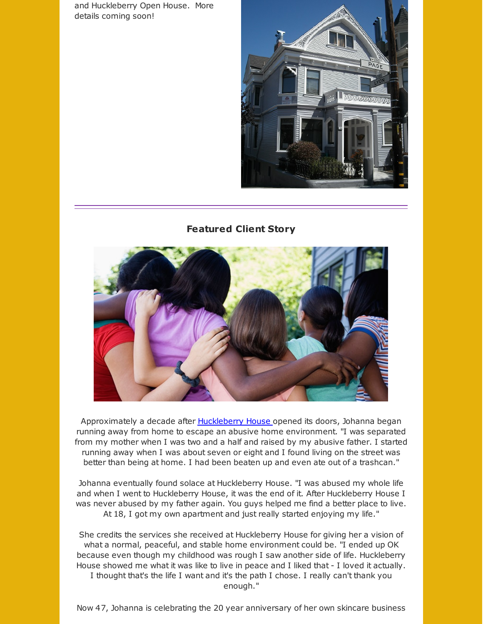and Huckleberry Open House. More details coming soon!



## **Featured Client Story**



Approximately a decade after [Huckleberry](http://r20.rs6.net/tn.jsp?f=001YkydlIB_n-IiDzgO-dz0JO9HnGsqt3ZextNO61-j7qbNQx9FnqXp3G2B4JbpvKte4CNtuwoRlme_D1hMfiaKXGAcb4sb0TZwcW9qW8DQKecwvUvQRxrKUKzFiEfj6iIgiVg-Pikr7_V2ARveHE-ZB-sGjHOIH5qJgEW6br3pvxFd_qIqlabuuGXtIoa8GFBTqAJYet7jRgicDAfbFfWHu_HJtmmR87nVxmdsX461gc04AzftJz83rcf5XDEbcgxBpgMWXSv35bVtA22p9r7_HZFWylbBmCB6o6GeGK3kbn8SG2HP2yL2tuoXrTEVl75WkDlYJgJfWSOh1hgPXaOCUTbHzW1PmbD0i8V4jXwaldzRH5WyLyDvMA==&c=&ch=) House opened its doors, Johanna began running away from home to escape an abusive home environment. "I was separated from my mother when I was two and a half and raised by my abusive father. I started running away when I was about seven or eight and I found living on the street was better than being at home. I had been beaten up and even ate out of a trashcan."

Johanna eventually found solace at Huckleberry House. "I was abused my whole life and when I went to Huckleberry House, it was the end of it. After Huckleberry House I was never abused by my father again. You guys helped me find a better place to live. At 18, I got my own apartment and just really started enjoying my life."

She credits the services she received at Huckleberry House for giving her a vision of what a normal, peaceful, and stable home environment could be. "I ended up OK because even though my childhood was rough I saw another side of life. Huckleberry House showed me what it was like to live in peace and I liked that - I loved it actually. I thought that's the life I want and it's the path I chose. I really can't thank you enough."

Now 47, Johanna is celebrating the 20 year anniversary of her own skincare business